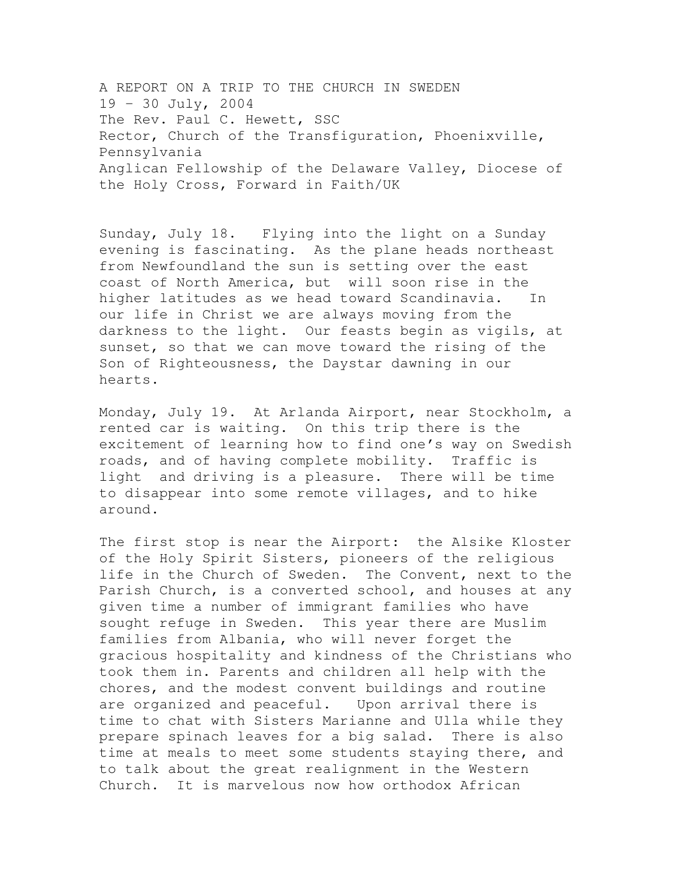A REPORT ON A TRIP TO THE CHURCH IN SWEDEN 19 – 30 July, 2004 The Rev. Paul C. Hewett, SSC Rector, Church of the Transfiguration, Phoenixville, Pennsylvania Anglican Fellowship of the Delaware Valley, Diocese of the Holy Cross, Forward in Faith/UK

Sunday, July 18. Flying into the light on a Sunday evening is fascinating. As the plane heads northeast from Newfoundland the sun is setting over the east coast of North America, but will soon rise in the higher latitudes as we head toward Scandinavia. In our life in Christ we are always moving from the darkness to the light. Our feasts begin as vigils, at sunset, so that we can move toward the rising of the Son of Righteousness, the Daystar dawning in our hearts.

Monday, July 19. At Arlanda Airport, near Stockholm, a rented car is waiting. On this trip there is the excitement of learning how to find one's way on Swedish roads, and of having complete mobility. Traffic is light and driving is a pleasure. There will be time to disappear into some remote villages, and to hike around.

The first stop is near the Airport: the Alsike Kloster of the Holy Spirit Sisters, pioneers of the religious life in the Church of Sweden. The Convent, next to the Parish Church, is a converted school, and houses at any given time a number of immigrant families who have sought refuge in Sweden. This year there are Muslim families from Albania, who will never forget the gracious hospitality and kindness of the Christians who took them in. Parents and children all help with the chores, and the modest convent buildings and routine are organized and peaceful. Upon arrival there is time to chat with Sisters Marianne and Ulla while they prepare spinach leaves for a big salad. There is also time at meals to meet some students staying there, and to talk about the great realignment in the Western Church. It is marvelous now how orthodox African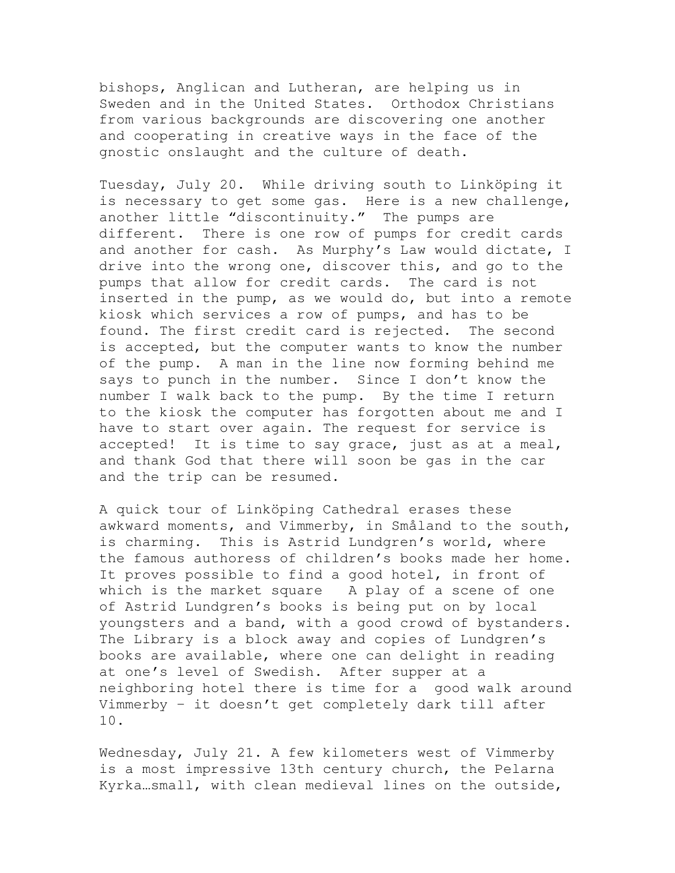bishops, Anglican and Lutheran, are helping us in Sweden and in the United States. Orthodox Christians from various backgrounds are discovering one another and cooperating in creative ways in the face of the gnostic onslaught and the culture of death.

Tuesday, July 20. While driving south to Linköping it is necessary to get some gas. Here is a new challenge, another little "discontinuity." The pumps are different. There is one row of pumps for credit cards and another for cash. As Murphy's Law would dictate, I drive into the wrong one, discover this, and go to the pumps that allow for credit cards. The card is not inserted in the pump, as we would do, but into a remote kiosk which services a row of pumps, and has to be found. The first credit card is rejected. The second is accepted, but the computer wants to know the number of the pump. A man in the line now forming behind me says to punch in the number. Since I don't know the number I walk back to the pump. By the time I return to the kiosk the computer has forgotten about me and I have to start over again. The request for service is accepted! It is time to say grace, just as at a meal, and thank God that there will soon be gas in the car and the trip can be resumed.

A quick tour of Linköping Cathedral erases these awkward moments, and Vimmerby, in Småland to the south, is charming. This is Astrid Lundgren's world, where the famous authoress of children's books made her home. It proves possible to find a good hotel, in front of which is the market square A play of a scene of one of Astrid Lundgren's books is being put on by local youngsters and a band, with a good crowd of bystanders. The Library is a block away and copies of Lundgren's books are available, where one can delight in reading at one's level of Swedish. After supper at a neighboring hotel there is time for a good walk around Vimmerby – it doesn't get completely dark till after 10.

Wednesday, July 21. A few kilometers west of Vimmerby is a most impressive 13th century church, the Pelarna Kyrka…small, with clean medieval lines on the outside,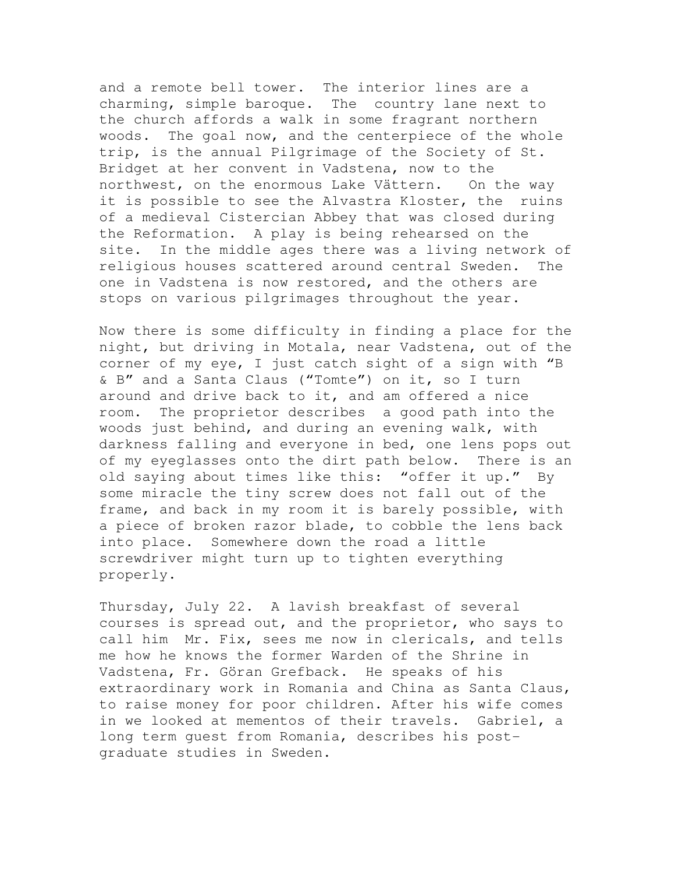and a remote bell tower. The interior lines are a charming, simple baroque. The country lane next to the church affords a walk in some fragrant northern woods. The goal now, and the centerpiece of the whole trip, is the annual Pilgrimage of the Society of St. Bridget at her convent in Vadstena, now to the northwest, on the enormous Lake Vättern. On the way it is possible to see the Alvastra Kloster, the ruins of a medieval Cistercian Abbey that was closed during the Reformation. A play is being rehearsed on the site. In the middle ages there was a living network of religious houses scattered around central Sweden. The one in Vadstena is now restored, and the others are stops on various pilgrimages throughout the year.

Now there is some difficulty in finding a place for the night, but driving in Motala, near Vadstena, out of the corner of my eye, I just catch sight of a sign with "B & B" and a Santa Claus ("Tomte") on it, so I turn around and drive back to it, and am offered a nice room. The proprietor describes a good path into the woods just behind, and during an evening walk, with darkness falling and everyone in bed, one lens pops out of my eyeglasses onto the dirt path below. There is an old saying about times like this: "offer it up." By some miracle the tiny screw does not fall out of the frame, and back in my room it is barely possible, with a piece of broken razor blade, to cobble the lens back into place. Somewhere down the road a little screwdriver might turn up to tighten everything properly.

Thursday, July 22. A lavish breakfast of several courses is spread out, and the proprietor, who says to call him Mr. Fix, sees me now in clericals, and tells me how he knows the former Warden of the Shrine in Vadstena, Fr. Göran Grefback. He speaks of his extraordinary work in Romania and China as Santa Claus, to raise money for poor children. After his wife comes in we looked at mementos of their travels. Gabriel, a long term guest from Romania, describes his postgraduate studies in Sweden.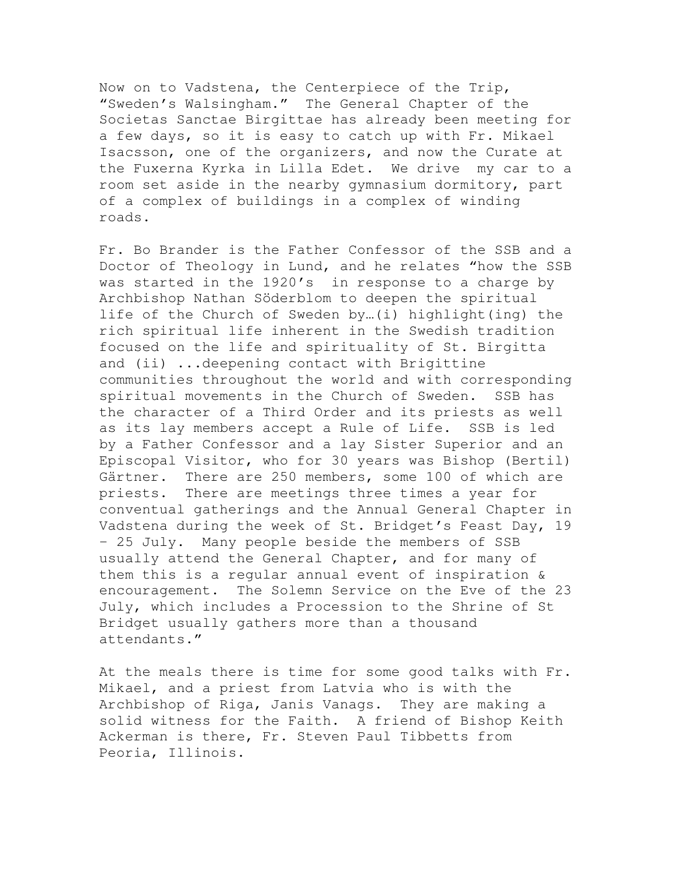Now on to Vadstena, the Centerpiece of the Trip, "Sweden's Walsingham." The General Chapter of the Societas Sanctae Birgittae has already been meeting for a few days, so it is easy to catch up with Fr. Mikael Isacsson, one of the organizers, and now the Curate at the Fuxerna Kyrka in Lilla Edet. We drive my car to a room set aside in the nearby gymnasium dormitory, part of a complex of buildings in a complex of winding roads.

Fr. Bo Brander is the Father Confessor of the SSB and a Doctor of Theology in Lund, and he relates "how the SSB was started in the 1920's in response to a charge by Archbishop Nathan Söderblom to deepen the spiritual life of the Church of Sweden by…(i) highlight(ing) the rich spiritual life inherent in the Swedish tradition focused on the life and spirituality of St. Birgitta and (ii) ...deepening contact with Brigittine communities throughout the world and with corresponding spiritual movements in the Church of Sweden. SSB has the character of a Third Order and its priests as well as its lay members accept a Rule of Life. SSB is led by a Father Confessor and a lay Sister Superior and an Episcopal Visitor, who for 30 years was Bishop (Bertil) Gärtner. There are 250 members, some 100 of which are priests. There are meetings three times a year for conventual gatherings and the Annual General Chapter in Vadstena during the week of St. Bridget's Feast Day, 19 – 25 July. Many people beside the members of SSB usually attend the General Chapter, and for many of them this is a regular annual event of inspiration & encouragement. The Solemn Service on the Eve of the 23 July, which includes a Procession to the Shrine of St Bridget usually gathers more than a thousand attendants."

At the meals there is time for some good talks with Fr. Mikael, and a priest from Latvia who is with the Archbishop of Riga, Janis Vanags. They are making a solid witness for the Faith. A friend of Bishop Keith Ackerman is there, Fr. Steven Paul Tibbetts from Peoria, Illinois.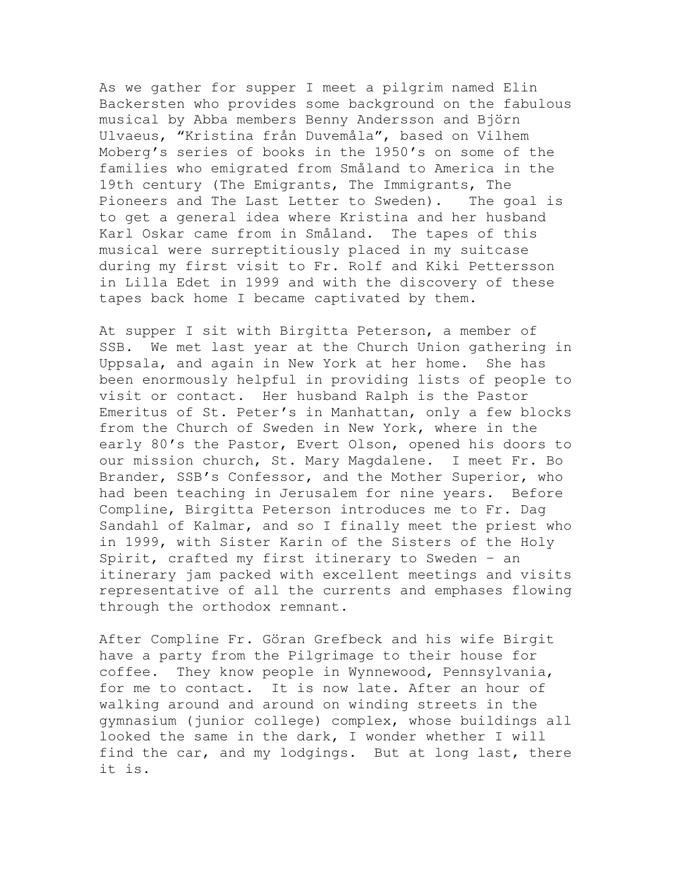As we gather for supper I meet a pilgrim named Elin Backersten who provides some background on the fabulous musical by Abba members Benny Andersson and Björn Ulvaeus, "Kristina från Duvemåla", based on Vilhem Moberg's series of books in the 1950's on some of the families who emigrated from Småland to America in the 19th century (The Emigrants, The Immigrants, The Pioneers and The Last Letter to Sweden). The goal is to get a general idea where Kristina and her husband Karl Oskar came from in Småland. The tapes of this musical were surreptitiously placed in my suitcase during my first visit to Fr. Rolf and Kiki Pettersson in Lilla Edet in 1999 and with the discovery of these tapes back home I became captivated by them.

At supper I sit with Birgitta Peterson, a member of SSB. We met last year at the Church Union gathering in Uppsala, and again in New York at her home. She has been enormously helpful in providing lists of people to visit or contact. Her husband Ralph is the Pastor Emeritus of St. Peter's in Manhattan, only a few blocks from the Church of Sweden in New York, where in the early 80's the Pastor, Evert Olson, opened his doors to our mission church, St. Mary Magdalene. I meet Fr. Bo Brander, SSB's Confessor, and the Mother Superior, who had been teaching in Jerusalem for nine years. Before Compline, Birgitta Peterson introduces me to Fr. Dag Sandahl of Kalmar, and so I finally meet the priest who in 1999, with Sister Karin of the Sisters of the Holy Spirit, crafted my first itinerary to Sweden – an itinerary jam packed with excellent meetings and visits representative of all the currents and emphases flowing through the orthodox remnant.

After Compline Fr. Göran Grefbeck and his wife Birgit have a party from the Pilgrimage to their house for coffee. They know people in Wynnewood, Pennsylvania, for me to contact. It is now late. After an hour of walking around and around on winding streets in the gymnasium (junior college) complex, whose buildings all looked the same in the dark, I wonder whether I will find the car, and my lodgings. But at long last, there it is.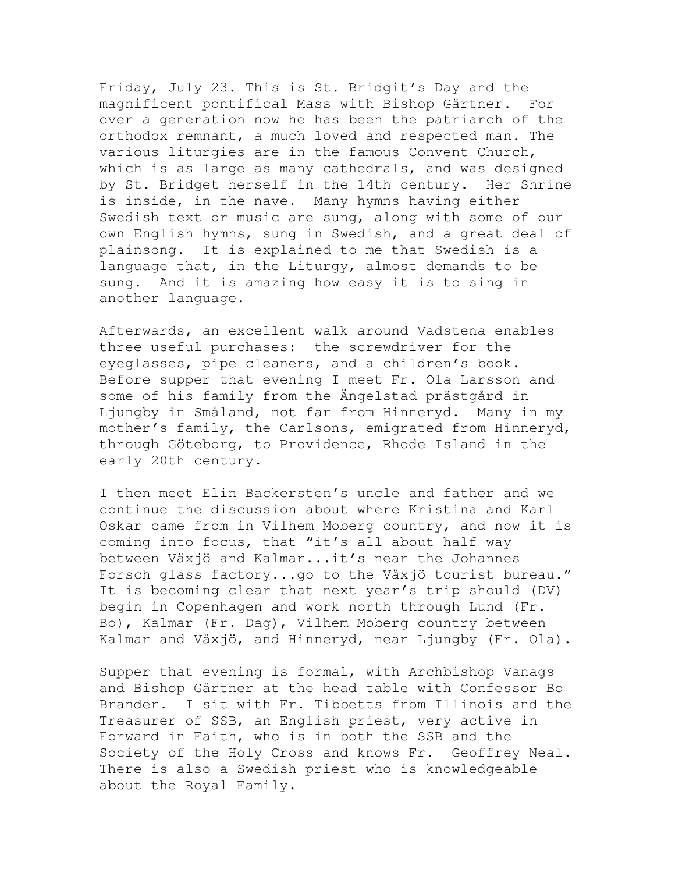Friday, July 23. This is St. Bridgit's Day and the magnificent pontifical Mass with Bishop Gärtner. For over a generation now he has been the patriarch of the orthodox remnant, a much loved and respected man. The various liturgies are in the famous Convent Church, which is as large as many cathedrals, and was designed by St. Bridget herself in the 14th century. Her Shrine is inside, in the nave. Many hymns having either Swedish text or music are sung, along with some of our own English hymns, sung in Swedish, and a great deal of plainsong. It is explained to me that Swedish is a language that, in the Liturgy, almost demands to be sung. And it is amazing how easy it is to sing in another language.

Afterwards, an excellent walk around Vadstena enables three useful purchases: the screwdriver for the eyeglasses, pipe cleaners, and a children's book. Before supper that evening I meet Fr. Ola Larsson and some of his family from the Ängelstad prästgård in Ljungby in Småland, not far from Hinneryd. Many in my mother's family, the Carlsons, emigrated from Hinneryd, through Göteborg, to Providence, Rhode Island in the early 20th century.

I then meet Elin Backersten's uncle and father and we continue the discussion about where Kristina and Karl Oskar came from in Vilhem Moberg country, and now it is coming into focus, that "it's all about half way between Växjö and Kalmar...it's near the Johannes Forsch glass factory...go to the Växjö tourist bureau." It is becoming clear that next year's trip should (DV) begin in Copenhagen and work north through Lund (Fr. Bo), Kalmar (Fr. Dag), Vilhem Moberg country between Kalmar and Växjö, and Hinneryd, near Ljungby (Fr. Ola).

Supper that evening is formal, with Archbishop Vanags and Bishop Gärtner at the head table with Confessor Bo Brander. I sit with Fr. Tibbetts from Illinois and the Treasurer of SSB, an English priest, very active in Forward in Faith, who is in both the SSB and the Society of the Holy Cross and knows Fr. Geoffrey Neal. There is also a Swedish priest who is knowledgeable about the Royal Family.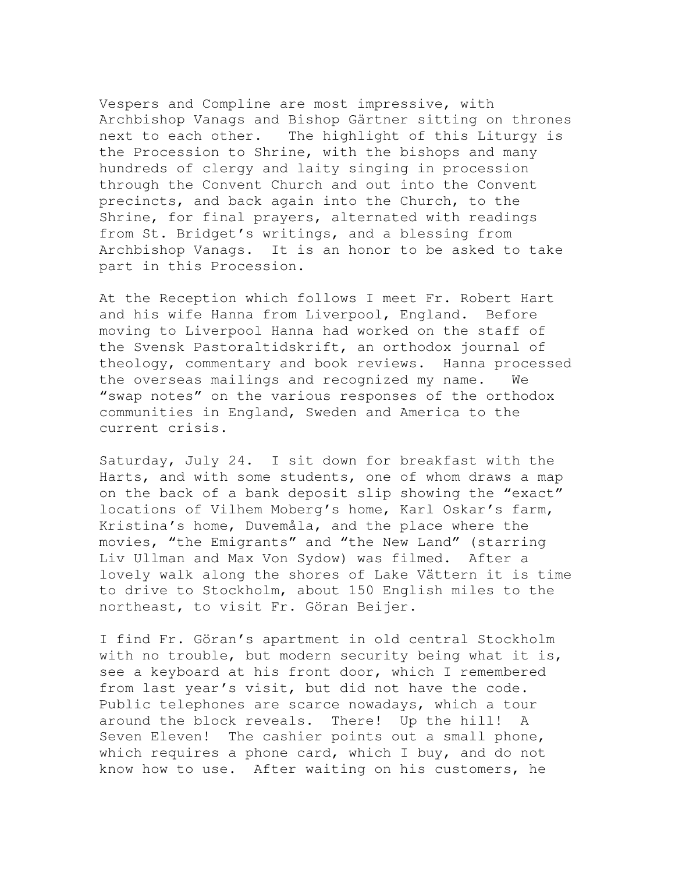Vespers and Compline are most impressive, with Archbishop Vanags and Bishop Gärtner sitting on thrones next to each other. The highlight of this Liturgy is the Procession to Shrine, with the bishops and many hundreds of clergy and laity singing in procession through the Convent Church and out into the Convent precincts, and back again into the Church, to the Shrine, for final prayers, alternated with readings from St. Bridget's writings, and a blessing from Archbishop Vanags. It is an honor to be asked to take part in this Procession.

At the Reception which follows I meet Fr. Robert Hart and his wife Hanna from Liverpool, England. Before moving to Liverpool Hanna had worked on the staff of the Svensk Pastoraltidskrift, an orthodox journal of theology, commentary and book reviews. Hanna processed the overseas mailings and recognized my name. We "swap notes" on the various responses of the orthodox communities in England, Sweden and America to the current crisis.

Saturday, July 24. I sit down for breakfast with the Harts, and with some students, one of whom draws a map on the back of a bank deposit slip showing the "exact" locations of Vilhem Moberg's home, Karl Oskar's farm, Kristina's home, Duvemåla, and the place where the movies, "the Emigrants" and "the New Land" (starring Liv Ullman and Max Von Sydow) was filmed. After a lovely walk along the shores of Lake Vättern it is time to drive to Stockholm, about 150 English miles to the northeast, to visit Fr. Göran Beijer.

I find Fr. Göran's apartment in old central Stockholm with no trouble, but modern security being what it is, see a keyboard at his front door, which I remembered from last year's visit, but did not have the code. Public telephones are scarce nowadays, which a tour around the block reveals. There! Up the hill! A Seven Eleven! The cashier points out a small phone, which requires a phone card, which I buy, and do not know how to use. After waiting on his customers, he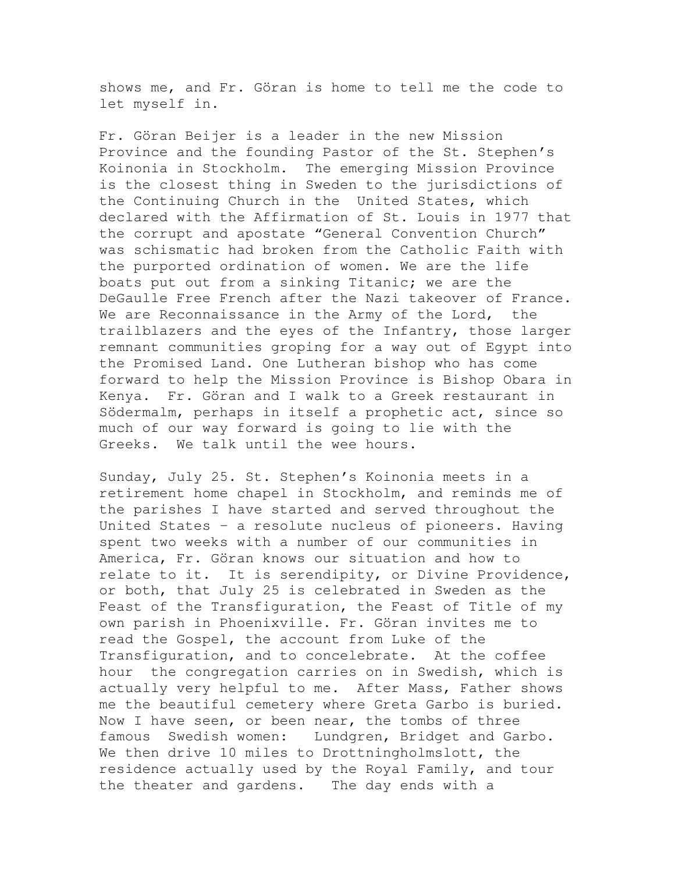shows me, and Fr. Göran is home to tell me the code to let myself in.

Fr. Göran Beijer is a leader in the new Mission Province and the founding Pastor of the St. Stephen's Koinonia in Stockholm. The emerging Mission Province is the closest thing in Sweden to the jurisdictions of the Continuing Church in the United States, which declared with the Affirmation of St. Louis in 1977 that the corrupt and apostate "General Convention Church" was schismatic had broken from the Catholic Faith with the purported ordination of women. We are the life boats put out from a sinking Titanic; we are the DeGaulle Free French after the Nazi takeover of France. We are Reconnaissance in the Army of the Lord, the trailblazers and the eyes of the Infantry, those larger remnant communities groping for a way out of Egypt into the Promised Land. One Lutheran bishop who has come forward to help the Mission Province is Bishop Obara in Kenya. Fr. Göran and I walk to a Greek restaurant in Södermalm, perhaps in itself a prophetic act, since so much of our way forward is going to lie with the Greeks. We talk until the wee hours.

Sunday, July 25. St. Stephen's Koinonia meets in a retirement home chapel in Stockholm, and reminds me of the parishes I have started and served throughout the United States – a resolute nucleus of pioneers. Having spent two weeks with a number of our communities in America, Fr. Göran knows our situation and how to relate to it. It is serendipity, or Divine Providence, or both, that July 25 is celebrated in Sweden as the Feast of the Transfiguration, the Feast of Title of my own parish in Phoenixville. Fr. Göran invites me to read the Gospel, the account from Luke of the Transfiguration, and to concelebrate. At the coffee hour the congregation carries on in Swedish, which is actually very helpful to me. After Mass, Father shows me the beautiful cemetery where Greta Garbo is buried. Now I have seen, or been near, the tombs of three famous Swedish women: Lundgren, Bridget and Garbo. We then drive 10 miles to Drottningholmslott, the residence actually used by the Royal Family, and tour the theater and gardens. The day ends with a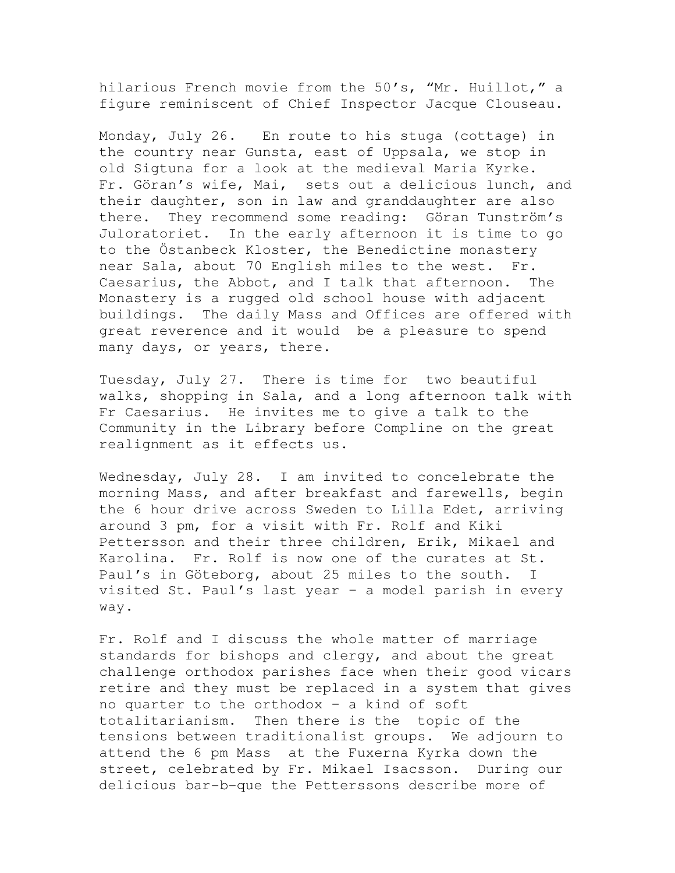hilarious French movie from the 50's, "Mr. Huillot," a figure reminiscent of Chief Inspector Jacque Clouseau.

Monday, July 26. En route to his stuga (cottage) in the country near Gunsta, east of Uppsala, we stop in old Sigtuna for a look at the medieval Maria Kyrke. Fr. Göran's wife, Mai, sets out a delicious lunch, and their daughter, son in law and granddaughter are also there. They recommend some reading: Göran Tunström's Juloratoriet. In the early afternoon it is time to go to the Östanbeck Kloster, the Benedictine monastery near Sala, about 70 English miles to the west. Fr. Caesarius, the Abbot, and I talk that afternoon. The Monastery is a rugged old school house with adjacent buildings. The daily Mass and Offices are offered with great reverence and it would be a pleasure to spend many days, or years, there.

Tuesday, July 27. There is time for two beautiful walks, shopping in Sala, and a long afternoon talk with Fr Caesarius. He invites me to give a talk to the Community in the Library before Compline on the great realignment as it effects us.

Wednesday, July 28. I am invited to concelebrate the morning Mass, and after breakfast and farewells, begin the 6 hour drive across Sweden to Lilla Edet, arriving around 3 pm, for a visit with Fr. Rolf and Kiki Pettersson and their three children, Erik, Mikael and Karolina. Fr. Rolf is now one of the curates at St. Paul's in Göteborg, about 25 miles to the south. I visited St. Paul's last year – a model parish in every way.

Fr. Rolf and I discuss the whole matter of marriage standards for bishops and clergy, and about the great challenge orthodox parishes face when their good vicars retire and they must be replaced in a system that gives no quarter to the orthodox – a kind of soft totalitarianism. Then there is the topic of the tensions between traditionalist groups. We adjourn to attend the 6 pm Mass at the Fuxerna Kyrka down the street, celebrated by Fr. Mikael Isacsson. During our delicious bar-b-que the Petterssons describe more of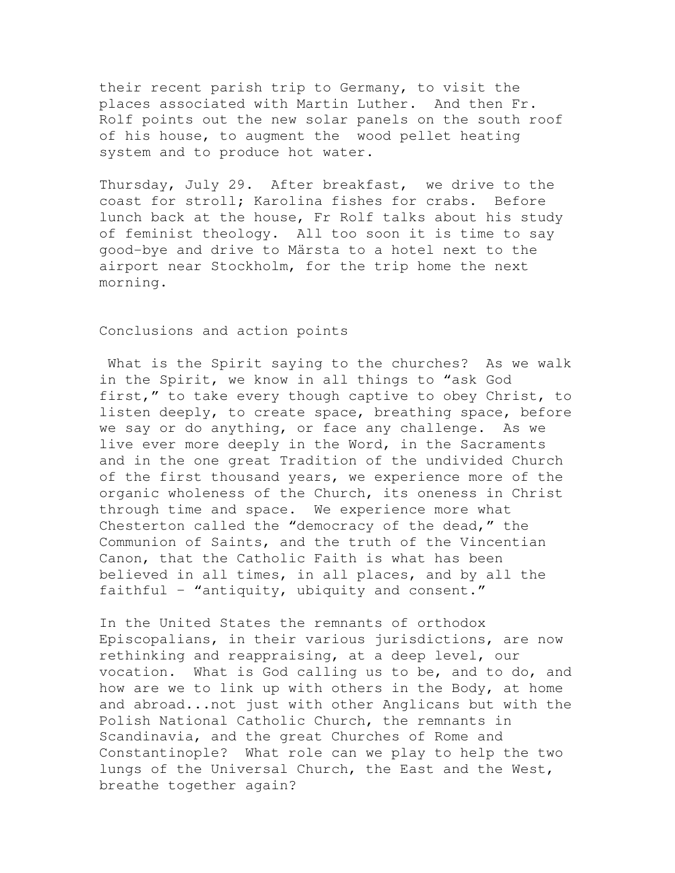their recent parish trip to Germany, to visit the places associated with Martin Luther. And then Fr. Rolf points out the new solar panels on the south roof of his house, to augment the wood pellet heating system and to produce hot water.

Thursday, July 29. After breakfast, we drive to the coast for stroll; Karolina fishes for crabs. Before lunch back at the house, Fr Rolf talks about his study of feminist theology. All too soon it is time to say good-bye and drive to Märsta to a hotel next to the airport near Stockholm, for the trip home the next morning.

Conclusions and action points

What is the Spirit saying to the churches? As we walk in the Spirit, we know in all things to "ask God first," to take every though captive to obey Christ, to listen deeply, to create space, breathing space, before we say or do anything, or face any challenge. As we live ever more deeply in the Word, in the Sacraments and in the one great Tradition of the undivided Church of the first thousand years, we experience more of the organic wholeness of the Church, its oneness in Christ through time and space. We experience more what Chesterton called the "democracy of the dead," the Communion of Saints, and the truth of the Vincentian Canon, that the Catholic Faith is what has been believed in all times, in all places, and by all the faithful – "antiquity, ubiquity and consent."

In the United States the remnants of orthodox Episcopalians, in their various jurisdictions, are now rethinking and reappraising, at a deep level, our vocation. What is God calling us to be, and to do, and how are we to link up with others in the Body, at home and abroad...not just with other Anglicans but with the Polish National Catholic Church, the remnants in Scandinavia, and the great Churches of Rome and Constantinople? What role can we play to help the two lungs of the Universal Church, the East and the West, breathe together again?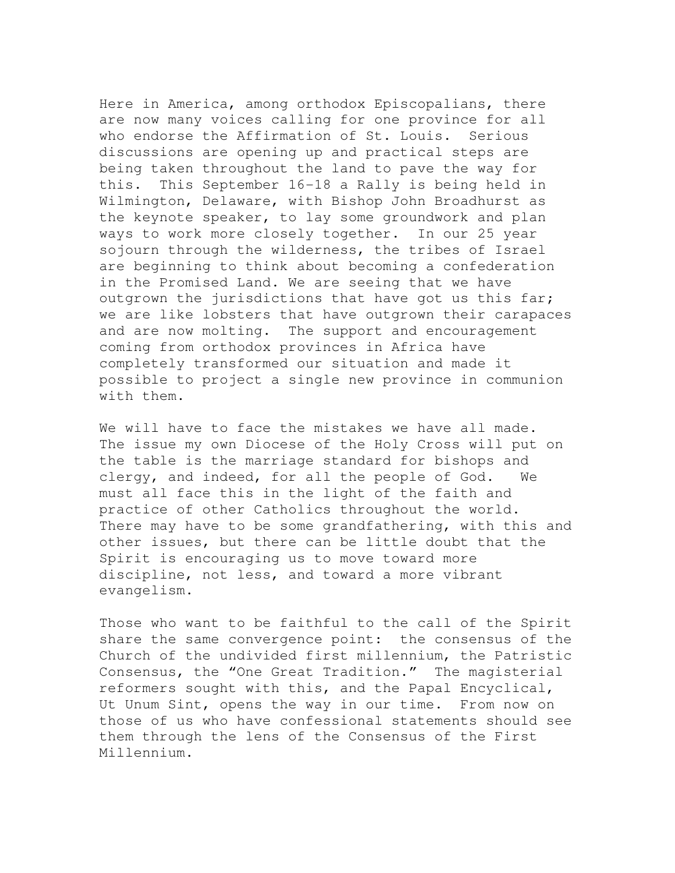Here in America, among orthodox Episcopalians, there are now many voices calling for one province for all who endorse the Affirmation of St. Louis. Serious discussions are opening up and practical steps are being taken throughout the land to pave the way for this. This September 16-18 a Rally is being held in Wilmington, Delaware, with Bishop John Broadhurst as the keynote speaker, to lay some groundwork and plan ways to work more closely together. In our 25 year sojourn through the wilderness, the tribes of Israel are beginning to think about becoming a confederation in the Promised Land. We are seeing that we have outgrown the jurisdictions that have got us this far; we are like lobsters that have outgrown their carapaces and are now molting. The support and encouragement coming from orthodox provinces in Africa have completely transformed our situation and made it possible to project a single new province in communion with them.

We will have to face the mistakes we have all made. The issue my own Diocese of the Holy Cross will put on the table is the marriage standard for bishops and clergy, and indeed, for all the people of God. We must all face this in the light of the faith and practice of other Catholics throughout the world. There may have to be some grandfathering, with this and other issues, but there can be little doubt that the Spirit is encouraging us to move toward more discipline, not less, and toward a more vibrant evangelism.

Those who want to be faithful to the call of the Spirit share the same convergence point: the consensus of the Church of the undivided first millennium, the Patristic Consensus, the "One Great Tradition." The magisterial reformers sought with this, and the Papal Encyclical, Ut Unum Sint, opens the way in our time. From now on those of us who have confessional statements should see them through the lens of the Consensus of the First Millennium.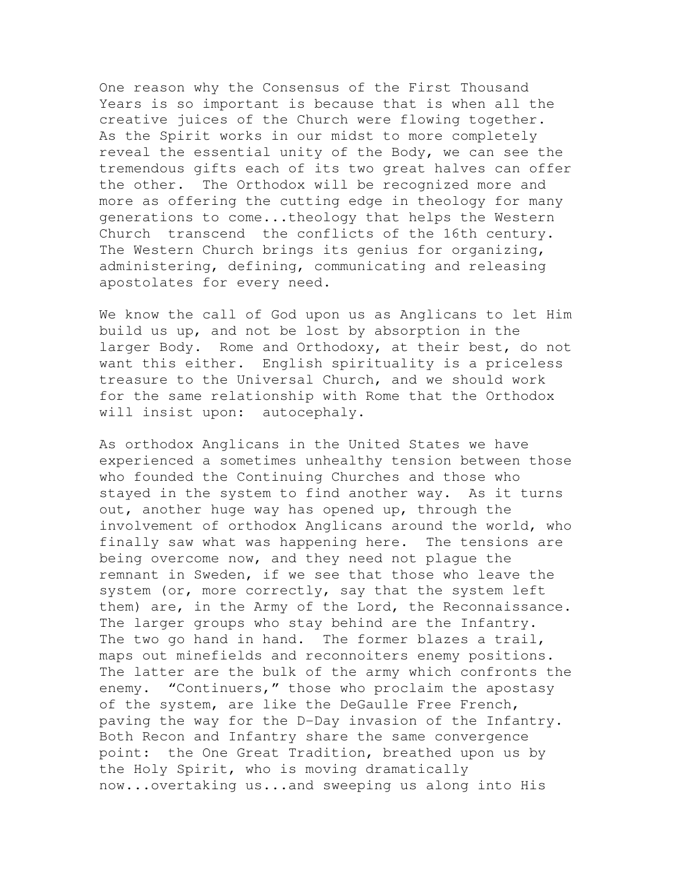One reason why the Consensus of the First Thousand Years is so important is because that is when all the creative juices of the Church were flowing together. As the Spirit works in our midst to more completely reveal the essential unity of the Body, we can see the tremendous gifts each of its two great halves can offer the other. The Orthodox will be recognized more and more as offering the cutting edge in theology for many generations to come...theology that helps the Western Church transcend the conflicts of the 16th century. The Western Church brings its genius for organizing, administering, defining, communicating and releasing apostolates for every need.

We know the call of God upon us as Anglicans to let Him build us up, and not be lost by absorption in the larger Body. Rome and Orthodoxy, at their best, do not want this either. English spirituality is a priceless treasure to the Universal Church, and we should work for the same relationship with Rome that the Orthodox will insist upon: autocephaly.

As orthodox Anglicans in the United States we have experienced a sometimes unhealthy tension between those who founded the Continuing Churches and those who stayed in the system to find another way. As it turns out, another huge way has opened up, through the involvement of orthodox Anglicans around the world, who finally saw what was happening here. The tensions are being overcome now, and they need not plague the remnant in Sweden, if we see that those who leave the system (or, more correctly, say that the system left them) are, in the Army of the Lord, the Reconnaissance. The larger groups who stay behind are the Infantry. The two go hand in hand. The former blazes a trail, maps out minefields and reconnoiters enemy positions. The latter are the bulk of the army which confronts the enemy. "Continuers," those who proclaim the apostasy of the system, are like the DeGaulle Free French, paving the way for the D-Day invasion of the Infantry. Both Recon and Infantry share the same convergence point: the One Great Tradition, breathed upon us by the Holy Spirit, who is moving dramatically now...overtaking us...and sweeping us along into His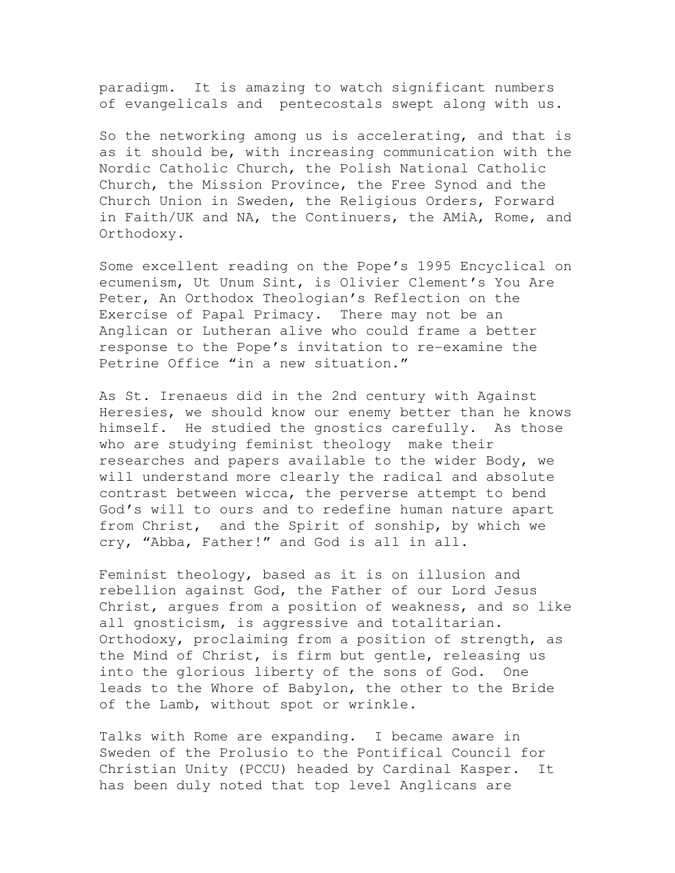paradigm. It is amazing to watch significant numbers of evangelicals and pentecostals swept along with us.

So the networking among us is accelerating, and that is as it should be, with increasing communication with the Nordic Catholic Church, the Polish National Catholic Church, the Mission Province, the Free Synod and the Church Union in Sweden, the Religious Orders, Forward in Faith/UK and NA, the Continuers, the AMiA, Rome, and Orthodoxy.

Some excellent reading on the Pope's 1995 Encyclical on ecumenism, Ut Unum Sint, is Olivier Clement's You Are Peter, An Orthodox Theologian's Reflection on the Exercise of Papal Primacy. There may not be an Anglican or Lutheran alive who could frame a better response to the Pope's invitation to re-examine the Petrine Office "in a new situation."

As St. Irenaeus did in the 2nd century with Against Heresies, we should know our enemy better than he knows himself. He studied the gnostics carefully. As those who are studying feminist theology make their researches and papers available to the wider Body, we will understand more clearly the radical and absolute contrast between wicca, the perverse attempt to bend God's will to ours and to redefine human nature apart from Christ, and the Spirit of sonship, by which we cry, "Abba, Father!" and God is all in all.

Feminist theology, based as it is on illusion and rebellion against God, the Father of our Lord Jesus Christ, argues from a position of weakness, and so like all gnosticism, is aggressive and totalitarian. Orthodoxy, proclaiming from a position of strength, as the Mind of Christ, is firm but gentle, releasing us into the glorious liberty of the sons of God. One leads to the Whore of Babylon, the other to the Bride of the Lamb, without spot or wrinkle.

Talks with Rome are expanding. I became aware in Sweden of the Prolusio to the Pontifical Council for Christian Unity (PCCU) headed by Cardinal Kasper. It has been duly noted that top level Anglicans are